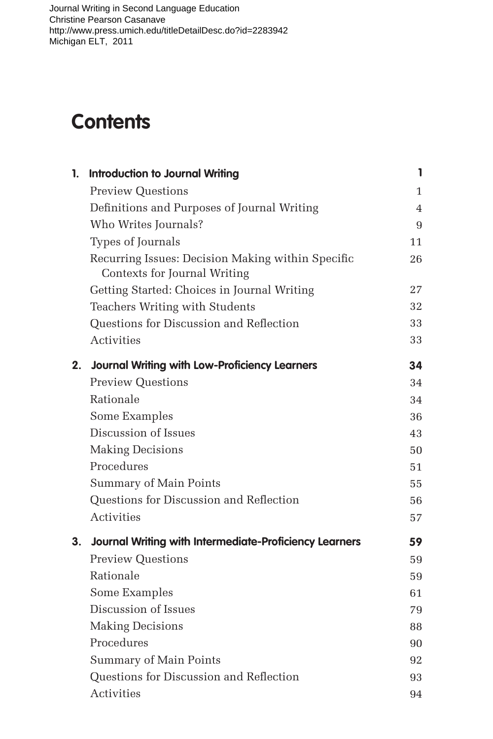## **Contents**

| 1. | <b>Introduction to Journal Writing</b>                                            | 1            |
|----|-----------------------------------------------------------------------------------|--------------|
|    | <b>Preview Questions</b>                                                          | $\mathbf{1}$ |
|    | Definitions and Purposes of Journal Writing                                       | 4            |
|    | Who Writes Journals?                                                              | 9            |
|    | Types of Journals                                                                 | 11           |
|    | Recurring Issues: Decision Making within Specific<br>Contexts for Journal Writing | 26           |
|    | Getting Started: Choices in Journal Writing                                       | 27           |
|    | Teachers Writing with Students                                                    | 32           |
|    | Questions for Discussion and Reflection                                           | 33           |
|    | Activities                                                                        | 33           |
| 2. | <b>Journal Writing with Low-Proficiency Learners</b>                              | 34           |
|    | <b>Preview Questions</b>                                                          | 34           |
|    | Rationale                                                                         | 34           |
|    | Some Examples                                                                     | 36           |
|    | Discussion of Issues                                                              | 43           |
|    | <b>Making Decisions</b>                                                           | 50           |
|    | Procedures                                                                        | 51           |
|    | Summary of Main Points                                                            | 55           |
|    | Questions for Discussion and Reflection                                           | 56           |
|    | Activities                                                                        | 57           |
| 3. | <b>Journal Writing with Intermediate-Proficiency Learners</b>                     | 59           |
|    | <b>Preview Questions</b>                                                          | 59           |
|    | Rationale                                                                         | 59           |
|    | Some Examples                                                                     | 61           |
|    | Discussion of Issues                                                              | 79           |
|    | <b>Making Decisions</b>                                                           | 88           |
|    | Procedures                                                                        | 90           |
|    | Summary of Main Points                                                            | 92           |
|    | Questions for Discussion and Reflection                                           | 93           |
|    | <b>Activities</b>                                                                 | 94           |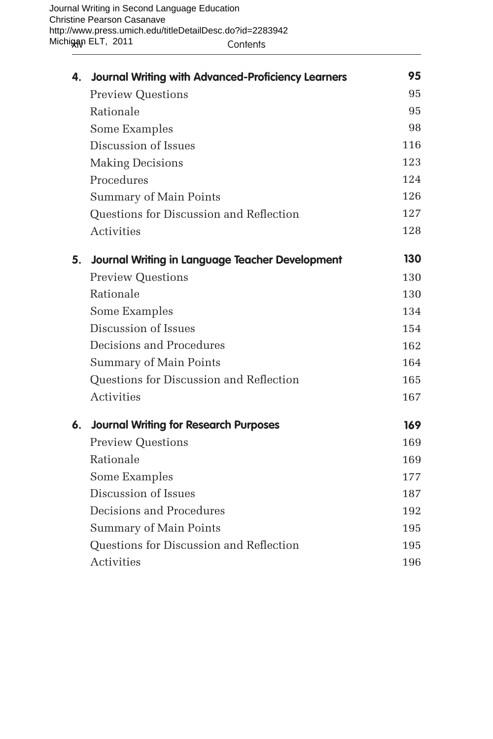|    | 4. Journal Writing with Advanced-Proficiency Learners | 95  |
|----|-------------------------------------------------------|-----|
|    | <b>Preview Questions</b>                              | 95  |
|    | Rationale                                             | 95  |
|    | Some Examples                                         | 98  |
|    | Discussion of Issues                                  | 116 |
|    | <b>Making Decisions</b>                               | 123 |
|    | Procedures                                            | 124 |
|    | Summary of Main Points                                | 126 |
|    | Questions for Discussion and Reflection               | 127 |
|    | <b>Activities</b>                                     | 128 |
| 5. | Journal Writing in Language Teacher Development       | 130 |
|    | <b>Preview Questions</b>                              | 130 |
|    | Rationale                                             | 130 |
|    | Some Examples                                         | 134 |
|    | Discussion of Issues                                  | 154 |
|    | Decisions and Procedures                              | 162 |
|    | Summary of Main Points                                | 164 |
|    | Questions for Discussion and Reflection               | 165 |
|    | <b>Activities</b>                                     | 167 |
| 6. | <b>Journal Writing for Research Purposes</b>          | 169 |
|    | <b>Preview Questions</b>                              | 169 |
|    | Rationale                                             | 169 |
|    | Some Examples                                         | 177 |
|    | Discussion of Issues                                  | 187 |
|    | Decisions and Procedures                              | 192 |
|    | Summary of Main Points                                | 195 |
|    | Questions for Discussion and Reflection               | 195 |
|    | Activities                                            | 196 |